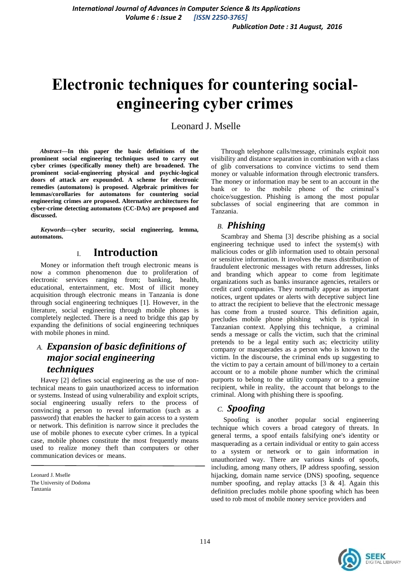# **Electronic techniques for countering socialengineering cyber crimes**

Leonard J. Mselle

*Abstract***—In this paper the basic definitions of the prominent social engineering techniques used to carry out cyber crimes (specifically money theft) are broadened. The prominent social-engineering physical and psychic-logical doors of attack are expounded. A scheme for electronic remedies (automatons) is proposed. Algebraic primitives for lemmas/corollaries for automatons for countering social engineering crimes are proposed. Alternative architectures for cyber-crime detecting automatons (CC-DAs) are proposed and discussed.**

*Keywords—***cyber security, social engineering, lemma, automatons.**

### I. **Introduction**

Money or information theft trough electronic means is now a common phenomenon due to proliferation of electronic services ranging from; banking, health, educational, entertainment, etc. Most of illicit money acquisition through electronic means in Tanzania is done through social engineering techniques [1]. However, in the literature, social engineering through mobile phones is completely neglected. There is a need to bridge this gap by expanding the definitions of social engineering techniques with mobile phones in mind.

### *A. Expansion of basic definitions of major social engineering techniques*

Havey [2] defines social engineering as the use of nontechnical means to gain unauthorized access to information or systems. Instead of using vulnerability and exploit scripts, social engineering usually refers to the process of convincing a person to reveal information (such as a password) that enables the hacker to gain access to a system or network. This definition is narrow since it precludes the use of mobile phones to execute cyber crimes. In a typical case, mobile phones constitute the most frequently means used to realize money theft than computers or other communication devices or means.

Through telephone calls/message, criminals exploit non visibility and distance separation in combination with a class of glib conversations to convince victims to send them money or valuable information through electronic transfers. The money or information may be sent to an account in the bank or to the mobile phone of the criminal's choice/suggestion. Phishing is among the most popular subclasses of social engineering that are common in Tanzania.

### *B. Phishing*

Scambray and Shema [3] describe phishing as a social engineering technique used to infect the system(s) with malicious codes or glib information used to obtain personal or sensitive information. It involves the mass distribution of fraudulent electronic messages with return addresses, links and branding which appear to come from legitimate organizations such as banks insurance agencies, retailers or credit card companies. They normally appear as important notices, urgent updates or alerts with deceptive subject line to attract the recipient to believe that the electronic message has come from a trusted source. This definition again, precludes mobile phone phishing which is typical in Tanzanian context. Applying this technique, a criminal sends a message or calls the victim, such that the criminal pretends to be a legal entity such as; electricity utility company or masquerades as a person who is known to the victim. In the discourse, the criminal ends up suggesting to the victim to pay a certain amount of bill/money to a certain account or to a mobile phone number which the criminal purports to belong to the utility company or to a genuine recipient, while in reality, the account that belongs to the criminal. Along with phishing there is spoofing.

### *C. Spoofing*

Spoofing is another popular social engineering technique which covers a broad category of threats. In general terms, a spoof entails falsifying one's identity or masquerading as a certain individual or entity to gain access to a system or network or to gain information in unauthorized way. There are various kinds of spoofs, including, among many others, IP address spoofing, session hijacking, domain name service (DNS) spoofing, sequence number spoofing, and replay attacks [3 & 4]. Again this definition precludes mobile phone spoofing which has been used to rob most of mobile money service providers and



Leonard J. Mselle The University of Dodoma Tanzania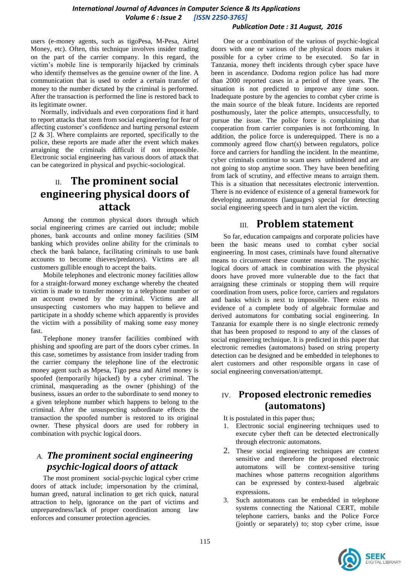#### *International Journal of Advances in Computer Science & Its Applications Volume 6 : Issue 2 [ISSN 2250-3765]*

#### *Publication Date : 31 August, 2016*

users (e-money agents, such as tigoPesa, M-Pesa, Airtel Money, etc). Often, this technique involves insider trading on the part of the carrier company. In this regard, the victim's mobile line is temporarily hijacked by criminals who identify themselves as the genuine owner of the line. A communication that is used to order a certain transfer of money to the number dictated by the criminal is performed. After the transaction is performed the line is restored back to its legitimate owner.

Normally, individuals and even corporations find it hard to report attacks that stem from social engineering for fear of affecting customer's confidence and hurting personal esteem  $[2 \& 3]$ . Where complaints are reported, specifically to the police, these reports are made after the event which makes arraigning the criminals difficult if not impossible. Electronic social engineering has various doors of attack that can be categorized in physical and psychic-sociological.

# II. **The prominent social engineering physical doors of attack**

Among the common physical doors through which social engineering crimes are carried out include; mobile phones, bank accounts and online money facilities (SIM banking which provides online ability for the criminals to check the bank balance, facilitating criminals to use bank accounts to become thieves/predators). Victims are all customers gullible enough to accept the baits.

Mobile telephones and electronic money facilities allow for a straight-forward money exchange whereby the cheated victim is made to transfer money to a telephone number or an account owned by the criminal. Victims are all unsuspecting customers who may happen to believe and participate in a shoddy scheme which apparently is provides the victim with a possibility of making some easy money fast.

Telephone money transfer facilities combined with phishing and spoofing are part of the doors cyber crimes. In this case, sometimes by assistance from insider trading from the carrier company the telephone line of the electronic money agent such as Mpesa, Tigo pesa and Airtel money is spoofed (temporarily hijacked) by a cyber criminal. The criminal, masquerading as the owner (phishing) of the business, issues an order to the subordinate to send money to a given telephone number which happens to belong to the criminal. After the unsuspecting subordinate effects the transaction the spoofed number is restored to its original owner. These physical doors are used for robbery in combination with psychic logical doors.

# *A. The prominent social engineering psychic-logical doors of attack*

The most prominent social-psychic logical cyber crime doors of attack include; impersonation by the criminal, human greed, natural inclination to get rich quick, natural attraction to help, ignorance on the part of victims and unpreparedness/lack of proper coordination among law enforces and consumer protection agencies.

One or a combination of the various of psychic-logical doors with one or various of the physical doors makes it possible for a cyber crime to be executed. So far in Tanzania, money theft incidents through cyber space have been in ascendance. Dodoma region police has had more than 2000 reported cases in a period of three years. The situation is not predicted to improve any time soon. Inadequate posture by the agencies to combat cyber crime is the main source of the bleak future. Incidents are reported posthumously, later the police attempts, unsuccessfully, to pursue the issue. The police force is complaining that cooperation from carrier companies is not forthcoming. In addition, the police force is underequipped. There is no a commonly agreed flow chart(s) between regulators, police force and carriers for handling the incident. In the meantime, cyber criminals continue to scam users unhindered and are not going to stop anytime soon. They have been benefiting from lack of scrutiny, and effective means to arraign them. This is a situation that necessitates electronic intervention. There is no evidence of existence of a general framework for developing automatons (languages) special for detecting social engineering speech and in turn alert the victim.

# III. **Problem statement**

So far, education campaigns and corporate policies have been the basic means used to combat cyber social engineering. In most cases, criminals have found alternative means to circumvent these counter measures. The psychic logical doors of attack in combination with the physical doors have proved more vulnerable due to the fact that arraigning these criminals or stopping them will require coordination from users, police force, carriers and regulators and banks which is next to impossible. There exists no evidence of a complete body of algebraic formulae and derived automatons for combating social engineering. In Tanzania for example there is no single electronic remedy that has been proposed to respond to any of the classes of social engineering technique. It is predicted in this paper that electronic remedies (automatons) based on string property detection can be designed and be embedded in telephones to alert customers and other responsible organs in case of social engineering conversation/attempt.

### IV. **Proposed electronic remedies (automatons)**

It is postulated in this paper thus;

- 1. Electronic social engineering techniques used to execute cyber theft can be detected electronically through electronic automatons.
- 2. These social engineering techniques are context sensitive and therefore the proposed electronic automatons will be context-sensitive turing machines whose patterns recognition algorithms can be expressed by context-based algebraic expressions.
- 3. Such automatons can be embedded in telephone systems connecting the National CERT, mobile telephone carriers, banks and the Police Force (jointly or separately) to; stop cyber crime, issue

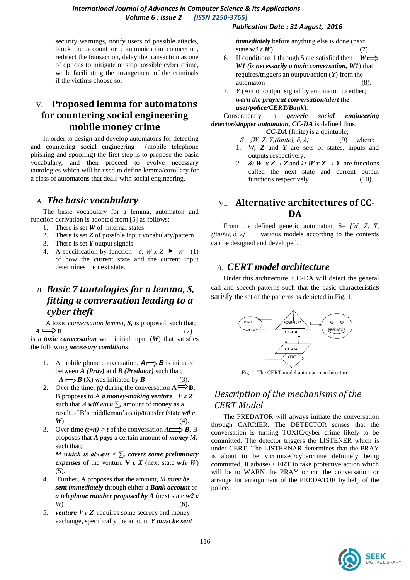#### *International Journal of Advances in Computer Science & Its Applications Volume 6 : Issue 2 [ISSN 2250-3765]*

security warnings, notify users of possible attacks, block the account or communication connection, redirect the transaction, delay the transaction as one of options to mitigate or stop possible cyber crime, while facilitating the arrangement of the criminals if the victims choose so.

### V. **Proposed lemma for automatons for countering social engineering mobile money crime**

In order to design and develop automatons for detecting and countering social engineering (mobile telephone phishing and spoofing) the first step is to propose the basic vocabulary, and then proceed to evolve necessary tautologies which will be used to define lemma/corollary for a class of automatons that deals with social engineering.

### *A. The basic vocabulary*

The basic vocabulary for a lemma, automaton and function derivation is adopted from [5] as follows;

- 1. There is set *W* of internal states
- 2. There is set *Z* of possible input vocabulary/pattern
- 3. There is set *Y* output signals
- A specification by function  $\delta$ :  $W \times Z \rightarrow W$  (1) of how the current state and the current input determines the next state.

# *B. Basic 7 tautologies for a lemma, S, fitting a conversation leading to a cyber theft*

A toxic *conversation lemma, S,* is proposed, such that;  $A \longrightarrow B$  (2).

is a *toxic conversation* with initial input (*W*) that satisfies the following *necessary conditions*;

- 1. A mobile phone conversation,  $A \rightleftharpoons B$  is initiated between *A (Pray)* and *B (Predator)* such that;  $A \longrightarrow B(X)$  was initiated by *B* (3).
- 2. Over the time, (*t*) during the conversation  $A \rightarrow B$ , B proposes to A *a money-making venture V ε Z* such that *A will earn*  $\Sigma$ , amount of money as a result of B's middleman's-ship/transfer (state *w0 ε W*) (4).
- 3. Over time  $(t+n) > t$  of the conversation  $A \longrightarrow B$ , B proposes that *A pays* a certain amount of *money M,* such that;

*M which is always < ∑, covers some preliminary expenses* of the venture **V**  $\varepsilon$  *X* (next state  $wI\varepsilon$  *W*)  $(5)$ .

- 4. Further, A proposes that the amount, *M must be sent immediately* through either a *Bank account* or *a telephone number proposed by A* (next state *w2 ε W*) (6).
- 5. *venture V ε Z* requires some secrecy and money exchange, specifically the amount *Y must be sent*

#### *Publication Date : 31 August, 2016*

*immediately* before anything else is done (next state  $w3 \varepsilon W$  (7).

- 6. If conditions 1 through 5 are satisfied then  $W \rightleftharpoons$ *W1 (is necessarily a toxic conversation, W1*) that requires/triggers an output/action (*Y*) from the automaton (8).
- 7. *Y* (Action/output signal by automaton to either; *warn the pray/cut conversation/alert the user/police/CERT/Bank*).

Consequently, a *generic social engineering detector/stopper automaton*, *CC-DA* is defined thus;

- *CC-DA* (finite) is a quintuple;
- *S= {W, Z, Y,(finite), δ, λ}* (9) where:
- 1. *W, Z* and *Y* are sets of states, inputs and outputs respectively.
- 2.  $\delta: W \times Z \rightarrow Z$  and  $\lambda: W \times Z \rightarrow Y$  are functions called the next state and current output functions respectively (10).

### VI. **Alternative architectures of CC-DA**

From the defined generic automaton, S= *{W, Z, Y, (finite), δ, λ}* various models according to the contexts can be designed and developed.

#### *A. CERT model architecture*

Under this architecture, CC-DA will detect the general call and speech-patterns such that the basic characteristics satisfy the set of the patterns as depicted in Fig. 1.



Fig. 1. The CERT model automaton architecture

# *Description of the mechanisms of the CERT Model*

The PREDATOR will always initiate the conversation through CARRIER. The DETECTOR senses that the conversation is turning TOXIC/cyber crime likely to be committed. The detector triggers the LISTENER which is under CERT. The LISTERNAR determines that the PRAY is about to be victimized/cybercrime definitely being committed. It advises CERT to take protective action which will be to WARN the PRAY or cut the conversation or arrange for arraignment of the PREDATOR by help of the police.

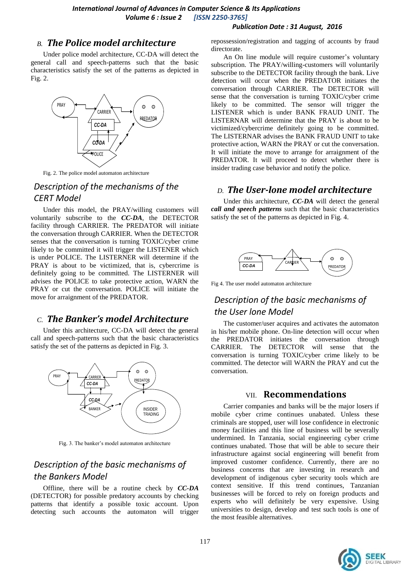#### *Publication Date : 31 August, 2016*

### *B. The Police model architecture*

Under police model architecture, CC-DA will detect the general call and speech-patterns such that the basic characteristics satisfy the set of the patterns as depicted in Fig. 2.



Fig. 2. The police model automaton architecture

# *Description of the mechanisms of the CERT Model*

Under this model, the PRAY/willing customers will voluntarily subscribe to the *CC-DA*, the DETECTOR facility through CARRIER. The PREDATOR will initiate the conversation through CARRIER. When the DETECTOR senses that the conversation is turning TOXIC/cyber crime likely to be committed it will trigger the LISTENER which is under POLICE. The LISTERNER will determine if the PRAY is about to be victimized, that is, cybercrime is definitely going to be committed. The LISTERNER will advises the POLICE to take protective action, WARN the PRAY or cut the conversation. POLICE will initiate the move for arraignment of the PREDATOR.

### *C. The Banker's model Architecture*

Under this architecture, CC-DA will detect the general call and speech-patterns such that the basic characteristics satisfy the set of the patterns as depicted in Fig. 3.



Fig. 3. The banker's model automaton architecture

# *Description of the basic mechanisms of the Bankers Model*

Offline, there will be a routine check by *CC-DA* (DETECTOR) for possible predatory accounts by checking patterns that identify a possible toxic account. Upon detecting such accounts the automaton will trigger

repossession/registration and tagging of accounts by fraud directorate.

An On line module will require customer's voluntary subscription. The PRAY/willing-customers will voluntarily subscribe to the DETECTOR facility through the bank. Live detection will occur when the PREDATOR initiates the conversation through CARRIER. The DETECTOR will sense that the conversation is turning TOXIC/cyber crime likely to be committed. The sensor will trigger the LISTENER which is under BANK FRAUD UNIT. The LISTERNAR will determine that the PRAY is about to be victimized/cybercrime definitely going to be committed. The LISTERNAR advises the BANK FRAUD UNIT to take protective action, WARN the PRAY or cut the conversation. It will initiate the move to arrange for arraignment of the PREDATOR. It will proceed to detect whether there is insider trading case behavior and notify the police.

### *D. The User-lone model architecture*

Under this architecture, *CC-DA* will detect the general *call and speech patterns* such that the basic characteristics satisfy the set of the patterns as depicted in Fig. 4.



Fig 4. The user model automaton architecture

# *Description of the basic mechanisms of the User lone Model*

The customer/user acquires and activates the automaton in his/her mobile phone. On-line detection will occur when the PREDATOR initiates the conversation through CARRIER. The DETECTOR will sense that the conversation is turning TOXIC/cyber crime likely to be committed. The detector will WARN the PRAY and cut the conversation.

#### VII. **Recommendations**

Carrier companies and banks will be the major losers if mobile cyber crime continues unabated. Unless these criminals are stopped, user will lose confidence in electronic money facilities and this line of business will be severally undermined. In Tanzania, social engineering cyber crime continues unabated. Those that will be able to secure their infrastructure against social engineering will benefit from improved customer confidence. Currently, there are no business concerns that are investing in research and development of indigenous cyber security tools which are context sensitive. If this trend continues, Tanzanian businesses will be forced to rely on foreign products and experts who will definitely be very expensive. Using universities to design, develop and test such tools is one of the most feasible alternatives.